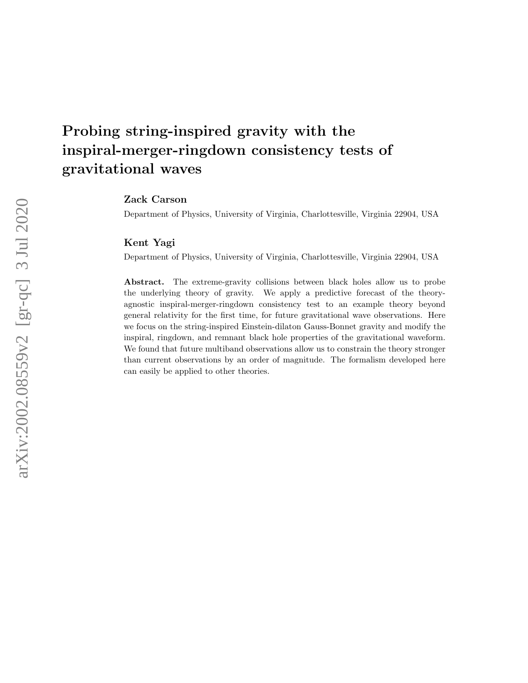# Probing string-inspired gravity with the inspiral-merger-ringdown consistency tests of gravitational waves

Zack Carson

Department of Physics, University of Virginia, Charlottesville, Virginia 22904, USA

Kent Yagi

Department of Physics, University of Virginia, Charlottesville, Virginia 22904, USA

Abstract. The extreme-gravity collisions between black holes allow us to probe the underlying theory of gravity. We apply a predictive forecast of the theoryagnostic inspiral-merger-ringdown consistency test to an example theory beyond general relativity for the first time, for future gravitational wave observations. Here we focus on the string-inspired Einstein-dilaton Gauss-Bonnet gravity and modify the inspiral, ringdown, and remnant black hole properties of the gravitational waveform. We found that future multiband observations allow us to constrain the theory stronger than current observations by an order of magnitude. The formalism developed here can easily be applied to other theories.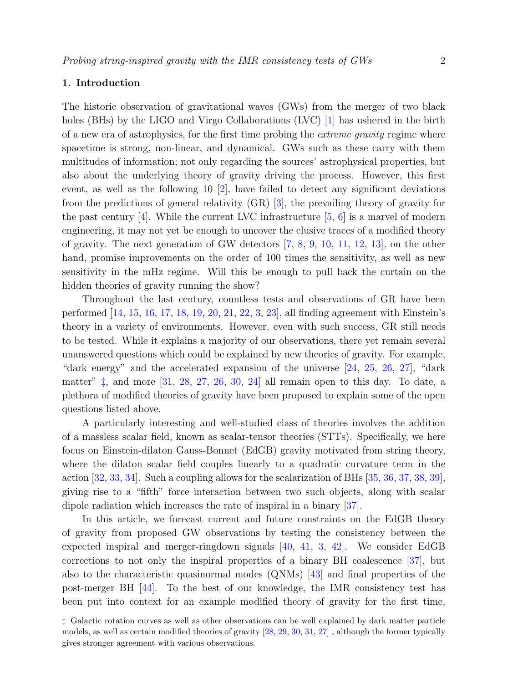## 1. Introduction

The historic observation of gravitational waves (GWs) from the merger of two black holes (BHs) by the LIGO and Virgo Collaborations (LVC) [\[1\]](#page-14-0) has ushered in the birth of a new era of astrophysics, for the first time probing the extreme gravity regime where spacetime is strong, non-linear, and dynamical. GWs such as these carry with them multitudes of information; not only regarding the sources' astrophysical properties, but also about the underlying theory of gravity driving the process. However, this first event, as well as the following 10 [\[2\]](#page-14-1), have failed to detect any significant deviations from the predictions of general relativity (GR) [\[3\]](#page-14-2), the prevailing theory of gravity for the past century  $[4]$ . While the current LVC infrastructure  $[5, 6]$  $[5, 6]$  is a marvel of modern engineering, it may not yet be enough to uncover the elusive traces of a modified theory of gravity. The next generation of GW detectors [\[7,](#page-14-6) [8,](#page-14-7) [9,](#page-14-8) [10,](#page-14-9) [11,](#page-14-10) [12,](#page-15-0) [13\]](#page-15-1), on the other hand, promise improvements on the order of 100 times the sensitivity, as well as new sensitivity in the mHz regime. Will this be enough to pull back the curtain on the hidden theories of gravity running the show?

Throughout the last century, countless tests and observations of GR have been performed [\[14,](#page-15-2) [15,](#page-15-3) [16,](#page-15-4) [17,](#page-15-5) [18,](#page-15-6) [19,](#page-15-7) [20,](#page-15-8) [21,](#page-15-9) [22,](#page-15-10) [3,](#page-14-2) [23\]](#page-15-11), all finding agreement with Einstein's theory in a variety of environments. However, even with such success, GR still needs to be tested. While it explains a majority of our observations, there yet remain several unanswered questions which could be explained by new theories of gravity. For example, "dark energy" and the accelerated expansion of the universe [\[24,](#page-15-12) [25,](#page-15-13) [26,](#page-15-14) [27\]](#page-15-15), "dark matter"  $\ddagger$ , and more  $\begin{bmatrix} 31, 28, 27, 26, 30, 24 \end{bmatrix}$  $\begin{bmatrix} 31, 28, 27, 26, 30, 24 \end{bmatrix}$  $\begin{bmatrix} 31, 28, 27, 26, 30, 24 \end{bmatrix}$  $\begin{bmatrix} 31, 28, 27, 26, 30, 24 \end{bmatrix}$  $\begin{bmatrix} 31, 28, 27, 26, 30, 24 \end{bmatrix}$  $\begin{bmatrix} 31, 28, 27, 26, 30, 24 \end{bmatrix}$  $\begin{bmatrix} 31, 28, 27, 26, 30, 24 \end{bmatrix}$  $\begin{bmatrix} 31, 28, 27, 26, 30, 24 \end{bmatrix}$  $\begin{bmatrix} 31, 28, 27, 26, 30, 24 \end{bmatrix}$  all remain open to this day. To date, a plethora of modified theories of gravity have been proposed to explain some of the open questions listed above.

A particularly interesting and well-studied class of theories involves the addition of a massless scalar field, known as scalar-tensor theories (STTs). Specifically, we here focus on Einstein-dilaton Gauss-Bonnet (EdGB) gravity motivated from string theory, where the dilaton scalar field couples linearly to a quadratic curvature term in the action [\[32,](#page-15-19) [33,](#page-15-20) [34\]](#page-15-21). Such a coupling allows for the scalarization of BHs [\[35,](#page-15-22) [36,](#page-15-23) [37,](#page-15-24) [38,](#page-15-25) [39\]](#page-15-26), giving rise to a "fifth" force interaction between two such objects, along with scalar dipole radiation which increases the rate of inspiral in a binary [\[37\]](#page-15-24).

In this article, we forecast current and future constraints on the EdGB theory of gravity from proposed GW observations by testing the consistency between the expected inspiral and merger-ringdown signals [\[40,](#page-15-27) [41,](#page-15-28) [3,](#page-14-2) [42\]](#page-15-29). We consider EdGB corrections to not only the inspiral properties of a binary BH coalescence [\[37\]](#page-15-24), but also to the characteristic quasinormal modes (QNMs) [\[43\]](#page-15-30) and final properties of the post-merger BH [\[44\]](#page-15-31). To the best of our knowledge, the IMR consistency test has been put into context for an example modified theory of gravity for the first time,

<span id="page-1-0"></span><sup>‡</sup> Galactic rotation curves as well as other observations can be well explained by dark matter particle models, as well as certain modified theories of gravity [\[28,](#page-15-17) [29,](#page-15-32) [30,](#page-15-18) [31,](#page-15-16) [27\]](#page-15-15) , although the former typically gives stronger agreement with various observations.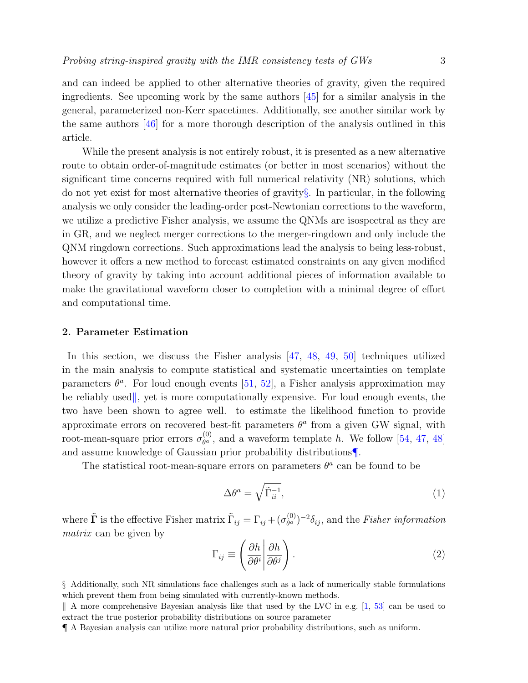and can indeed be applied to other alternative theories of gravity, given the required ingredients. See upcoming work by the same authors  $\left[45\right]$  for a similar analysis in the general, parameterized non-Kerr spacetimes. Additionally, see another similar work by the same authors [\[46\]](#page-15-34) for a more thorough description of the analysis outlined in this article.

While the present analysis is not entirely robust, it is presented as a new alternative route to obtain order-of-magnitude estimates (or better in most scenarios) without the significant time concerns required with full numerical relativity (NR) solutions, which do not yet exist for most alternative theories of gravity[§](#page-2-0). In particular, in the following analysis we only consider the leading-order post-Newtonian corrections to the waveform, we utilize a predictive Fisher analysis, we assume the QNMs are isospectral as they are in GR, and we neglect merger corrections to the merger-ringdown and only include the QNM ringdown corrections. Such approximations lead the analysis to being less-robust, however it offers a new method to forecast estimated constraints on any given modified theory of gravity by taking into account additional pieces of information available to make the gravitational waveform closer to completion with a minimal degree of effort and computational time.

## <span id="page-2-3"></span>2. Parameter Estimation

In this section, we discuss the Fisher analysis [\[47,](#page-15-35) [48,](#page-15-36) [49,](#page-15-37) [50\]](#page-15-38) techniques utilized in the main analysis to compute statistical and systematic uncertainties on template parameters  $\theta^a$ . For loud enough events [\[51,](#page-16-0) [52\]](#page-16-1), a Fisher analysis approximation may be reliably used, yet is more computationally expensive. For loud enough events, the two have been shown to agree well. to estimate the likelihood function to provide approximate errors on recovered best-fit parameters  $\theta^a$  from a given GW signal, with root-mean-square prior errors  $\sigma_{\theta^a}^{(0)}$  $\theta_{\theta^a}^{(0)}$ , and a waveform template h. We follow [\[54,](#page-16-2) [47,](#page-15-35) [48\]](#page-15-36) and assume knowledge of Gaussian prior probability distributions[¶](#page-2-2).

The statistical root-mean-square errors on parameters  $\theta^a$  can be found to be

$$
\Delta\theta^a = \sqrt{\tilde{\Gamma}_{ii}^{-1}},\tag{1}
$$

where  $\tilde{\Gamma}$  is the effective Fisher matrix  $\tilde{\Gamma}_{ij} = \Gamma_{ij} + (\sigma_{\theta^a}^{(0)})$  $\theta_{\theta}^{(0)}$ )<sup>-2</sup> $\delta_{ij}$ , and the *Fisher information* matrix can be given by

$$
\Gamma_{ij} \equiv \left(\frac{\partial h}{\partial \theta^i} \middle| \frac{\partial h}{\partial \theta^j}\right). \tag{2}
$$

<span id="page-2-0"></span>§ Additionally, such NR simulations face challenges such as a lack of numerically stable formulations which prevent them from being simulated with currently-known methods.

<span id="page-2-1"></span> $\parallel$  A more comprehensive Bayesian analysis like that used by the LVC in e.g. [\[1,](#page-14-0) [53\]](#page-16-3) can be used to extract the true posterior probability distributions on source parameter

<span id="page-2-2"></span><sup>¶</sup> A Bayesian analysis can utilize more natural prior probability distributions, such as uniform.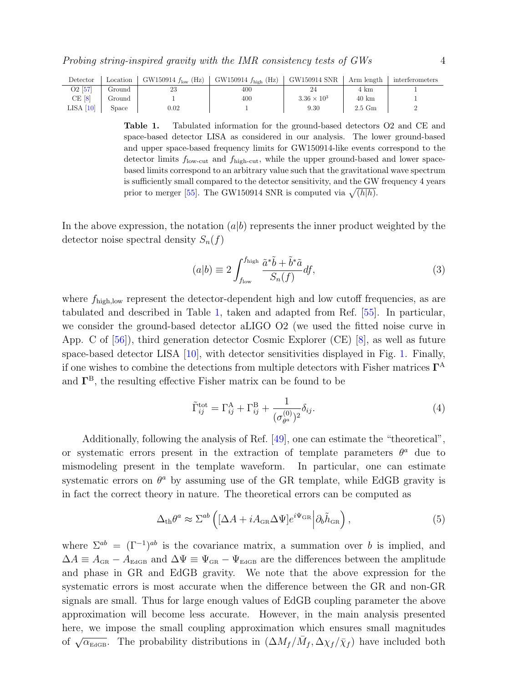| Detector            | Location | $GW150914 f_{low}$ (Hz) | GW150914 $f_{\text{high}}$ (Hz) | GW150914 SNR         | Arm length      | interferometers |
|---------------------|----------|-------------------------|---------------------------------|----------------------|-----------------|-----------------|
| O <sub>2</sub> [57] | Ground   |                         | 400                             |                      | 4 km            |                 |
| CE[8]               | Ground   |                         | 400                             | $3.36 \times 10^{3}$ | $40 \text{ km}$ |                 |
| $LISA$ [10]         | Space    | 0.02                    |                                 | 9.30                 | 2.5 Gm          |                 |

<span id="page-3-0"></span>Table 1. Tabulated information for the ground-based detectors O2 and CE and space-based detector LISA as considered in our analysis. The lower ground-based and upper space-based frequency limits for GW150914-like events correspond to the detector limits  $f_{\text{low-cut}}$  and  $f_{\text{high-cut}}$ , while the upper ground-based and lower spacebased limits correspond to an arbitrary value such that the gravitational wave spectrum is sufficiently small compared to the detector sensitivity, and the GW frequency 4 years prior to merger [\[55\]](#page-16-5). The GW150914 SNR is computed via  $\sqrt{(h|h)}$ .

In the above expression, the notation  $(a|b)$  represents the inner product weighted by the detector noise spectral density  $S_n(f)$ 

$$
(a|b) \equiv 2 \int_{f_{\text{low}}}^{f_{\text{high}}} \frac{\tilde{a}^* \tilde{b} + \tilde{b}^* \tilde{a}}{S_n(f)} df,
$$
\n
$$
(3)
$$

where  $f_{\text{high,low}}$  represent the detector-dependent high and low cutoff frequencies, as are tabulated and described in Table [1,](#page-3-0) taken and adapted from Ref. [\[55\]](#page-16-5). In particular, we consider the ground-based detector aLIGO O2 (we used the fitted noise curve in App. C of [\[56\]](#page-16-6)), third generation detector Cosmic Explorer (CE) [\[8\]](#page-14-7), as well as future space-based detector LISA [\[10\]](#page-14-9), with detector sensitivities displayed in Fig. [1.](#page-4-0) Finally, if one wishes to combine the detections from multiple detectors with Fisher matrices  $\Gamma^{\text{A}}$ and  $\Gamma^B$ , the resulting effective Fisher matrix can be found to be

$$
\tilde{\Gamma}_{ij}^{\text{tot}} = \Gamma_{ij}^{\text{A}} + \Gamma_{ij}^{\text{B}} + \frac{1}{(\sigma_{\theta^a}^{(0)})^2} \delta_{ij}.
$$
\n(4)

Additionally, following the analysis of Ref. [\[49\]](#page-15-37), one can estimate the "theoretical", or systematic errors present in the extraction of template parameters  $\theta^a$  due to mismodeling present in the template waveform. In particular, one can estimate systematic errors on  $\theta^a$  by assuming use of the GR template, while EdGB gravity is in fact the correct theory in nature. The theoretical errors can be computed as

<span id="page-3-1"></span>
$$
\Delta_{\rm th}\theta^a \approx \Sigma^{ab} \left( [\Delta A + i A_{\rm GR} \Delta \Psi] e^{i\Psi_{\rm GR}} \Big| \partial_b \tilde{h}_{\rm GR} \right), \tag{5}
$$

where  $\Sigma^{ab} = (\Gamma^{-1})^{ab}$  is the covariance matrix, a summation over b is implied, and  $\Delta A \equiv A_{\text{GR}} - A_{\text{EdGB}}$  and  $\Delta \Psi \equiv \Psi_{\text{GR}} - \Psi_{\text{EdGB}}$  are the differences between the amplitude and phase in GR and EdGB gravity. We note that the above expression for the systematic errors is most accurate when the difference between the GR and non-GR signals are small. Thus for large enough values of EdGB coupling parameter the above approximation will become less accurate. However, in the main analysis presented here, we impose the small coupling approximation which ensures small magnitudes of  $\sqrt{\alpha_{\text{EdGB}}}$ . The probability distributions in  $(\Delta M_f/\bar{M}_f, \Delta \chi_f/\bar{\chi}_f)$  have included both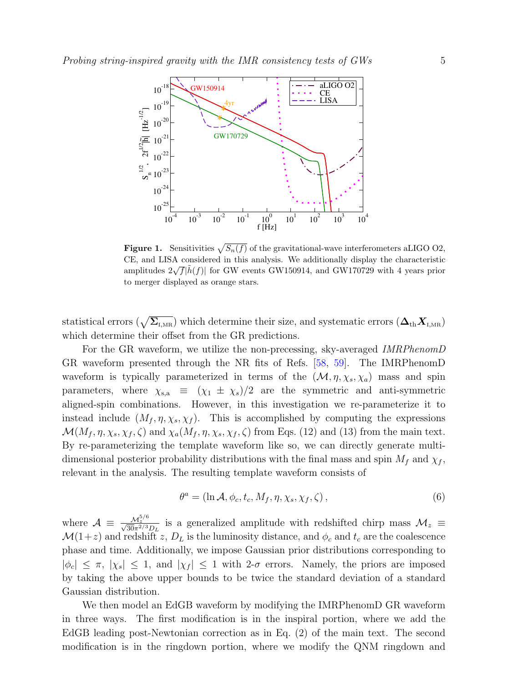

<span id="page-4-0"></span>**Figure 1.** Sensitivities  $\sqrt{S_n(f)}$  of the gravitational-wave interferometers aLIGO O2, CE, and LISA considered in this analysis. We additionally display the characteristic  $\sum_{i=1}^{\infty}$  and EISA considered in this analysis. We additionally display the characteristic amplitudes  $2\sqrt{f}|\tilde{h}(f)|$  for GW events GW150914, and GW170729 with 4 years prior to merger displayed as orange stars.

statistical errors ( $\sqrt{\Sigma_{\rm I,MR}}$ ) which determine their size, and systematic errors ( $\Delta_{\rm th} X_{\rm I,MR}$ ) which determine their offset from the GR predictions.

For the GR waveform, we utilize the non-precessing, sky-averaged *IMRPhenomD* GR waveform presented through the NR fits of Refs. [\[58,](#page-16-7) [59\]](#page-16-8). The IMRPhenomD waveform is typically parameterized in terms of the  $(\mathcal{M}, \eta, \chi_s, \chi_a)$  mass and spin parameters, where  $\chi_{s,a} \equiv (\chi_1 \pm \chi_s)/2$  are the symmetric and anti-symmetric aligned-spin combinations. However, in this investigation we re-parameterize it to instead include  $(M_f, \eta, \chi_s, \chi_f)$ . This is accomplished by computing the expressions  $\mathcal{M}(M_f, \eta, \chi_s, \chi_f, \zeta)$  and  $\chi_a(M_f, \eta, \chi_s, \chi_f, \zeta)$  from Eqs. (12) and (13) from the main text. By re-parameterizing the template waveform like so, we can directly generate multidimensional posterior probability distributions with the final mass and spin  $M_f$  and  $\chi_f$ , relevant in the analysis. The resulting template waveform consists of

$$
\theta^a = (\ln \mathcal{A}, \phi_c, t_c, M_f, \eta, \chi_s, \chi_f, \zeta), \qquad (6)
$$

where  $\mathcal{A} \equiv \frac{\mathcal{M}_z^{5/6}}{\sqrt{30}\pi^{2/3}D_L}$  is a generalized amplitude with redshifted chirp mass  $\mathcal{M}_z \equiv$  $\mathcal{M}(1+z)$  and redshift z,  $D<sub>L</sub>$  is the luminosity distance, and  $\phi<sub>c</sub>$  and  $t<sub>c</sub>$  are the coalescence phase and time. Additionally, we impose Gaussian prior distributions corresponding to  $|\phi_c| \leq \pi$ ,  $|\chi_s| \leq 1$ , and  $|\chi_f| \leq 1$  with 2- $\sigma$  errors. Namely, the priors are imposed by taking the above upper bounds to be twice the standard deviation of a standard Gaussian distribution.

We then model an EdGB waveform by modifying the IMRPhenomD GR waveform in three ways. The first modification is in the inspiral portion, where we add the EdGB leading post-Newtonian correction as in Eq. (2) of the main text. The second modification is in the ringdown portion, where we modify the QNM ringdown and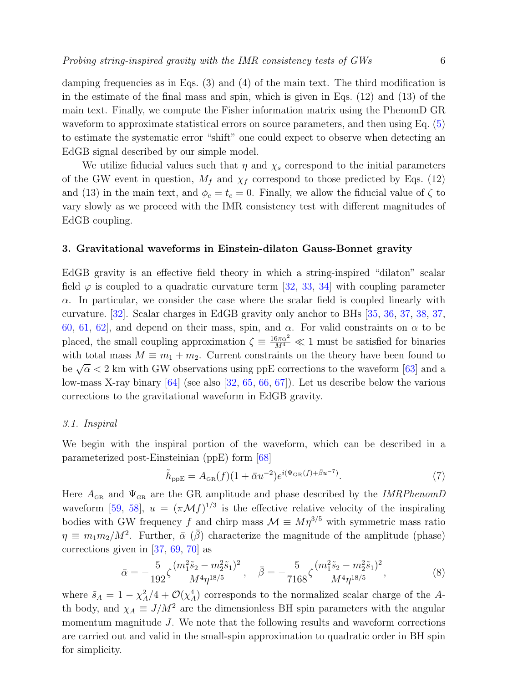damping frequencies as in Eqs. (3) and (4) of the main text. The third modification is in the estimate of the final mass and spin, which is given in Eqs. (12) and (13) of the main text. Finally, we compute the Fisher information matrix using the PhenomD GR waveform to approximate statistical errors on source parameters, and then using Eq.  $(5)$ to estimate the systematic error "shift" one could expect to observe when detecting an EdGB signal described by our simple model.

We utilize fiducial values such that  $\eta$  and  $\chi_s$  correspond to the initial parameters of the GW event in question,  $M_f$  and  $\chi_f$  correspond to those predicted by Eqs. (12) and (13) in the main text, and  $\phi_c = t_c = 0$ . Finally, we allow the fiducial value of  $\zeta$  to vary slowly as we proceed with the IMR consistency test with different magnitudes of EdGB coupling.

### 3. Gravitational waveforms in Einstein-dilaton Gauss-Bonnet gravity

EdGB gravity is an effective field theory in which a string-inspired "dilaton" scalar field  $\varphi$  is coupled to a quadratic curvature term [\[32,](#page-15-19) [33,](#page-15-20) [34\]](#page-15-21) with coupling parameter  $\alpha$ . In particular, we consider the case where the scalar field is coupled linearly with curvature. [\[32\]](#page-15-19). Scalar charges in EdGB gravity only anchor to BHs [\[35,](#page-15-22) [36,](#page-15-23) [37,](#page-15-24) [38,](#page-15-25) [37,](#page-15-24) [60,](#page-16-9) [61,](#page-16-10) 62, and depend on their mass, spin, and  $\alpha$ . For valid constraints on  $\alpha$  to be placed, the small coupling approximation  $\zeta \equiv \frac{16\pi\alpha^2}{M^4} \ll 1$  must be satisfied for binaries with total mass  $M \equiv m_1 + m_2$ . Current constraints on the theory have been found to be  $\sqrt{\alpha}$  < 2 km with GW observations using ppE corrections to the waveform [\[63\]](#page-16-12) and a low-mass X-ray binary [\[64\]](#page-16-13) (see also [\[32,](#page-15-19) [65,](#page-16-14) [66,](#page-16-15) [67\]](#page-16-16)). Let us describe below the various corrections to the gravitational waveform in EdGB gravity.

### 3.1. Inspiral

We begin with the inspiral portion of the waveform, which can be described in a parameterized post-Einsteinian (ppE) form [\[68\]](#page-16-17)

<span id="page-5-0"></span>
$$
\tilde{h}_{\rm pPE} = A_{\rm GR}(f)(1 + \bar{\alpha}u^{-2})e^{i(\Psi_{\rm GR}(f) + \bar{\beta}u^{-7})}.\tag{7}
$$

Here  $A_{\text{GR}}$  and  $\Psi_{\text{GR}}$  are the GR amplitude and phase described by the *IMRPhenomD* waveform [\[59,](#page-16-8) [58\]](#page-16-7),  $u = (\pi \mathcal{M}f)^{1/3}$  is the effective relative velocity of the inspiraling bodies with GW frequency f and chirp mass  $\mathcal{M} \equiv M \eta^{3/5}$  with symmetric mass ratio  $\eta \equiv m_1 m_2 / M^2$ . Further,  $\bar{\alpha}$  ( $\bar{\beta}$ ) characterize the magnitude of the amplitude (phase) corrections given in [\[37,](#page-15-24) [69,](#page-16-18) [70\]](#page-16-19) as

$$
\bar{\alpha} = -\frac{5}{192} \zeta \frac{(m_1^2 \tilde{s}_2 - m_2^2 \tilde{s}_1)^2}{M^4 \eta^{18/5}}, \quad \bar{\beta} = -\frac{5}{7168} \zeta \frac{(m_1^2 \tilde{s}_2 - m_2^2 \tilde{s}_1)^2}{M^4 \eta^{18/5}},
$$
(8)

where  $\tilde{s}_A = 1 - \chi_A^2/4 + \mathcal{O}(\chi_A^4)$  corresponds to the normalized scalar charge of the Ath body, and  $\chi_A \equiv J/M^2$  are the dimensionless BH spin parameters with the angular momentum magnitude J. We note that the following results and waveform corrections are carried out and valid in the small-spin approximation to quadratic order in BH spin for simplicity.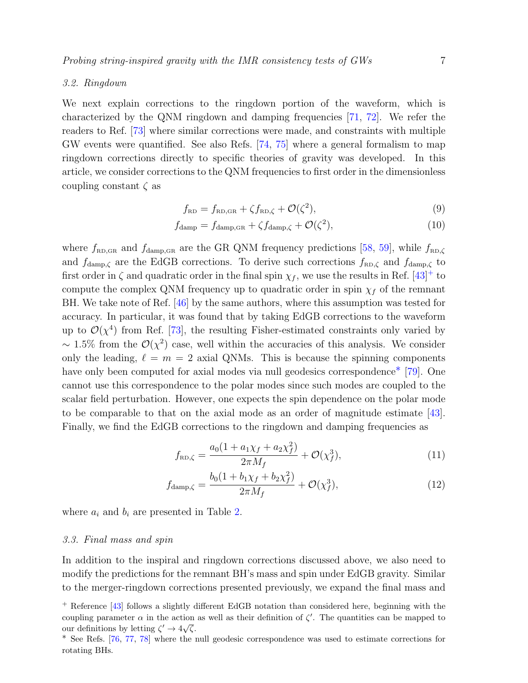### 3.2. Ringdown

We next explain corrections to the ringdown portion of the waveform, which is characterized by the QNM ringdown and damping frequencies [\[71,](#page-16-20) [72\]](#page-16-21). We refer the readers to Ref. [\[73\]](#page-16-22) where similar corrections were made, and constraints with multiple GW events were quantified. See also Refs. [\[74,](#page-16-23) [75\]](#page-16-24) where a general formalism to map ringdown corrections directly to specific theories of gravity was developed. In this article, we consider corrections to the QNM frequencies to first order in the dimensionless coupling constant  $\zeta$  as

$$
f_{\rm RD} = f_{\rm RD,GR} + \zeta f_{\rm RD, \zeta} + \mathcal{O}(\zeta^2),\tag{9}
$$

$$
f_{\rm damp} = f_{\rm damp,GR} + \zeta f_{\rm damp,\zeta} + \mathcal{O}(\zeta^2),\tag{10}
$$

where  $f_{\text{RD,GR}}$  and  $f_{\text{damp,GR}}$  are the GR QNM frequency predictions [\[58,](#page-16-7) [59\]](#page-16-8), while  $f_{\text{RD,C}}$ and  $f_{\text{damp},\zeta}$  are the EdGB corrections. To derive such corrections  $f_{\text{RD},\zeta}$  and  $f_{\text{damp},\zeta}$  to first order in  $\zeta$  and quadratic order in the final spin  $\chi_f$ , we use the results in Ref. [\[43\]](#page-15-30)<sup>[+](#page-6-0)</sup> to compute the complex QNM frequency up to quadratic order in spin  $\chi_f$  of the remnant BH. We take note of Ref. [\[46\]](#page-15-34) by the same authors, where this assumption was tested for accuracy. In particular, it was found that by taking EdGB corrections to the waveform up to  $\mathcal{O}(\chi^4)$  from Ref. [\[73\]](#page-16-22), the resulting Fisher-estimated constraints only varied by ~ 1.5% from the  $\mathcal{O}(\chi^2)$  case, well within the accuracies of this analysis. We consider only the leading,  $\ell = m = 2$  axial QNMs. This is because the spinning components have only been computed for axial modes via null geodesics correspondence[∗](#page-6-1) [\[79\]](#page-16-25). One cannot use this correspondence to the polar modes since such modes are coupled to the scalar field perturbation. However, one expects the spin dependence on the polar mode to be comparable to that on the axial mode as an order of magnitude estimate [\[43\]](#page-15-30). Finally, we find the EdGB corrections to the ringdown and damping frequencies as

<span id="page-6-3"></span><span id="page-6-2"></span>
$$
f_{\text{RD},\zeta} = \frac{a_0(1 + a_1\chi_f + a_2\chi_f^2)}{2\pi M_f} + \mathcal{O}(\chi_f^3),\tag{11}
$$

$$
f_{\text{damp},\zeta} = \frac{b_0(1 + b_1\chi_f + b_2\chi_f^2)}{2\pi M_f} + \mathcal{O}(\chi_f^3),\tag{12}
$$

where  $a_i$  and  $b_i$  are presented in Table [2.](#page-7-0)

### 3.3. Final mass and spin

In addition to the inspiral and ringdown corrections discussed above, we also need to modify the predictions for the remnant BH's mass and spin under EdGB gravity. Similar to the merger-ringdown corrections presented previously, we expand the final mass and

<span id="page-6-0"></span><sup>+</sup> Reference [\[43\]](#page-15-30) follows a slightly different EdGB notation than considered here, beginning with the coupling parameter  $\alpha$  in the action as well as their definition of  $\zeta'$ . The quantities can be mapped to our definitions by letting  $\zeta' \to 4\sqrt{\zeta}$ .

<span id="page-6-1"></span><sup>∗</sup> See Refs. [\[76,](#page-16-26) [77,](#page-16-27) [78\]](#page-16-28) where the null geodesic correspondence was used to estimate corrections for rotating BHs.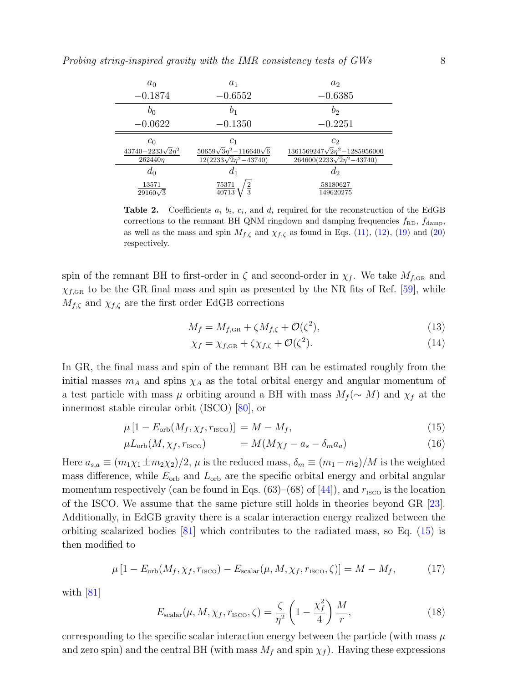| $a_0$                                   | $a_1$                                                                      | a <sub>2</sub>                                                                       |
|-----------------------------------------|----------------------------------------------------------------------------|--------------------------------------------------------------------------------------|
| $-0.1874$                               | $-0.6552$                                                                  | $-0.6385$                                                                            |
| $b_0$                                   | b1                                                                         | $b_2$                                                                                |
| $-0.0622$                               | $-0.1350$                                                                  | $-0.2251$                                                                            |
| $c_0$                                   | $c_1$                                                                      | C9.                                                                                  |
| $43740 - 2233\sqrt{2}\eta^2$<br>262440n | $50659\sqrt{3}\eta^2 - 116640\sqrt{6}$<br>$12(2233\sqrt{2}\eta^2 - 43740)$ | $1361569247\sqrt{2}\eta^2 - 1285956000$<br>$\sqrt{264600(2233\sqrt{2}\eta^2-43740)}$ |
| $d_0$                                   | $d_1$                                                                      | $d_2$                                                                                |
| 13571                                   | $\frac{2}{3}$<br>75371                                                     | 58180627                                                                             |

<span id="page-7-0"></span>**Table 2.** Coefficients  $a_i$   $b_i$ ,  $c_i$ , and  $d_i$  required for the reconstruction of the EdGB corrections to the remnant BH QNM ringdown and damping frequencies  $f_{\text{RD}}$ ,  $f_{\text{damp}}$ , as well as the mass and spin  $M_{f,\zeta}$  and  $\chi_{f,\zeta}$  as found in Eqs. [\(11\)](#page-6-2), [\(12\)](#page-6-3), [\(19\)](#page-8-0) and [\(20\)](#page-8-1) respectively.

spin of the remnant BH to first-order in  $\zeta$  and second-order in  $\chi_f$ . We take  $M_{f,GR}$  and  $\chi_{f,GR}$  to be the GR final mass and spin as presented by the NR fits of Ref. [\[59\]](#page-16-8), while  $M_{f,\zeta}$  and  $\chi_{f,\zeta}$  are the first order EdGB corrections

$$
M_f = M_{f, \text{GR}} + \zeta M_{f, \zeta} + \mathcal{O}(\zeta^2),\tag{13}
$$

$$
\chi_f = \chi_{f, \text{GR}} + \zeta \chi_{f, \zeta} + \mathcal{O}(\zeta^2). \tag{14}
$$

In GR, the final mass and spin of the remnant BH can be estimated roughly from the initial masses  $m_A$  and spins  $\chi_A$  as the total orbital energy and angular momentum of a test particle with mass  $\mu$  orbiting around a BH with mass  $M_f (\sim M)$  and  $\chi_f$  at the innermost stable circular orbit (ISCO) [\[80\]](#page-16-29), or

<span id="page-7-1"></span>
$$
\mu \left[ 1 - E_{\text{orb}}(M_f, \chi_f, r_{\text{ISCO}}) \right] = M - M_f, \tag{15}
$$

$$
\mu L_{\rm orb}(M, \chi_f, r_{\rm ISCO}) = M(M\chi_f - a_s - \delta_m a_a) \tag{16}
$$

Here  $a_{s,a} \equiv (m_1 \chi_1 \pm m_2 \chi_2)/2$ ,  $\mu$  is the reduced mass,  $\delta_m \equiv (m_1 - m_2)/M$  is the weighted mass difference, while  $E_{\text{orb}}$  and  $L_{\text{orb}}$  are the specific orbital energy and orbital angular momentum respectively (can be found in Eqs.  $(63)$ – $(68)$  of [\[44\]](#page-15-31)), and  $r_{\rm ISCO}$  is the location of the ISCO. We assume that the same picture still holds in theories beyond GR [\[23\]](#page-15-11). Additionally, in EdGB gravity there is a scalar interaction energy realized between the orbiting scalarized bodies  $[81]$  which contributes to the radiated mass, so Eq. [\(15\)](#page-7-1) is then modified to

$$
\mu \left[ 1 - E_{\text{orb}}(M_f, \chi_f, r_{\text{ISCO}}) - E_{\text{scalar}}(\mu, M, \chi_f, r_{\text{ISCO}}, \zeta) \right] = M - M_f, \tag{17}
$$

with [\[81\]](#page-16-30)

$$
E_{\text{scalar}}(\mu, M, \chi_f, r_{\text{ISCO}}, \zeta) = \frac{\zeta}{\eta^2} \left( 1 - \frac{\chi_f^2}{4} \right) \frac{M}{r},\tag{18}
$$

corresponding to the specific scalar interaction energy between the particle (with mass  $\mu$ and zero spin) and the central BH (with mass  $M_f$  and spin  $\chi_f$ ). Having these expressions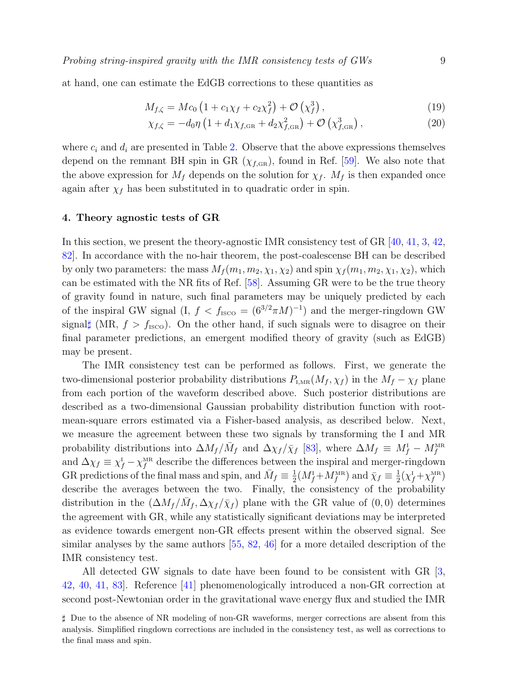at hand, one can estimate the EdGB corrections to these quantities as

$$
M_{f,\zeta} = Mc_0 \left( 1 + c_1 \chi_f + c_2 \chi_f^2 \right) + \mathcal{O}\left( \chi_f^3 \right), \tag{19}
$$

<span id="page-8-1"></span><span id="page-8-0"></span>
$$
\chi_{f,\zeta} = -d_0 \eta \left( 1 + d_1 \chi_{f,\text{GR}} + d_2 \chi_{f,\text{GR}}^2 \right) + \mathcal{O}\left(\chi_{f,\text{GR}}^3\right),\tag{20}
$$

where  $c_i$  and  $d_i$  are presented in Table [2.](#page-7-0) Observe that the above expressions themselves depend on the remnant BH spin in GR  $(\chi_{f,GR})$ , found in Ref. [\[59\]](#page-16-8). We also note that the above expression for  $M_f$  depends on the solution for  $\chi_f$ .  $M_f$  is then expanded once again after  $\chi_f$  has been substituted in to quadratic order in spin.

#### 4. Theory agnostic tests of GR

In this section, we present the theory-agnostic IMR consistency test of GR [\[40,](#page-15-27) [41,](#page-15-28) [3,](#page-14-2) [42,](#page-15-29) [82\]](#page-16-31). In accordance with the no-hair theorem, the post-coalescense BH can be described by only two parameters: the mass  $M_f(m_1, m_2, \chi_1, \chi_2)$  and spin  $\chi_f(m_1, m_2, \chi_1, \chi_2)$ , which can be estimated with the NR fits of Ref. [\[58\]](#page-16-7). Assuming GR were to be the true theory of gravity found in nature, such final parameters may be uniquely predicted by each of the inspiral GW signal  $(I, f < f_{\text{ISCO}} = (6^{3/2} \pi M)^{-1}$  and the merger-ringdown GW signal<sup> $\sharp$ </sup> (MR,  $f > f_{\text{ISCO}}$ ). On the other hand, if such signals were to disagree on their final parameter predictions, an emergent modified theory of gravity (such as EdGB) may be present.

The IMR consistency test can be performed as follows. First, we generate the two-dimensional posterior probability distributions  $P_{I,MR}(M_f, \chi_f)$  in the  $M_f - \chi_f$  plane from each portion of the waveform described above. Such posterior distributions are described as a two-dimensional Gaussian probability distribution function with rootmean-square errors estimated via a Fisher-based analysis, as described below. Next, we measure the agreement between these two signals by transforming the I and MR probability distributions into  $\Delta M_f / \bar{M}_f$  and  $\Delta \chi_f / \bar{\chi}_f$  [\[83\]](#page-16-32), where  $\Delta M_f \equiv M_f^{\rm I} - M_f^{\rm MR}$ and  $\Delta \chi_f \equiv \chi_f^{\text{I}} - \chi_f^{\text{MR}}$  describe the differences between the inspiral and merger-ringdown GR predictions of the final mass and spin, and  $\bar{M}_f \equiv \frac{1}{2}$  $\frac{1}{2}(M_f^{\text{I}}+M_f^{\text{MR}})$  and  $\bar{\chi}_f\equiv \frac{1}{2}$  $\frac{1}{2}(\chi_f^{\text{I}}+\chi_f^{\text{MR}})$ describe the averages between the two. Finally, the consistency of the probability distribution in the  $(\Delta M_f/\bar{M}_f, \Delta \chi_f/\bar{\chi}_f)$  plane with the GR value of  $(0,0)$  determines the agreement with GR, while any statistically significant deviations may be interpreted as evidence towards emergent non-GR effects present within the observed signal. See similar analyses by the same authors [\[55,](#page-16-5) [82,](#page-16-31) [46\]](#page-15-34) for a more detailed description of the IMR consistency test.

All detected GW signals to date have been found to be consistent with GR [\[3,](#page-14-2) [42,](#page-15-29) [40,](#page-15-27) [41,](#page-15-28) [83\]](#page-16-32). Reference [\[41\]](#page-15-28) phenomenologically introduced a non-GR correction at second post-Newtonian order in the gravitational wave energy flux and studied the IMR

<span id="page-8-2"></span><sup>]</sup> Due to the absence of NR modeling of non-GR waveforms, merger corrections are absent from this analysis. Simplified ringdown corrections are included in the consistency test, as well as corrections to the final mass and spin.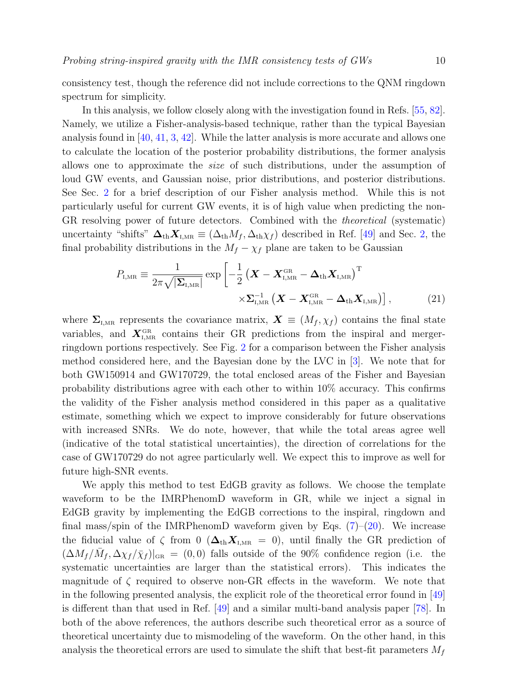consistency test, though the reference did not include corrections to the QNM ringdown spectrum for simplicity.

In this analysis, we follow closely along with the investigation found in Refs. [\[55,](#page-16-5) [82\]](#page-16-31). Namely, we utilize a Fisher-analysis-based technique, rather than the typical Bayesian analysis found in [\[40,](#page-15-27) [41,](#page-15-28) [3,](#page-14-2) [42\]](#page-15-29). While the latter analysis is more accurate and allows one to calculate the location of the posterior probability distributions, the former analysis allows one to approximate the size of such distributions, under the assumption of loud GW events, and Gaussian noise, prior distributions, and posterior distributions. See Sec. [2](#page-2-3) for a brief description of our Fisher analysis method. While this is not particularly useful for current GW events, it is of high value when predicting the non-GR resolving power of future detectors. Combined with the *theoretical* (systematic) uncertainty "shifts"  $\Delta_{\text{th}}\mathbf{X}_{\text{I},\text{MR}} \equiv (\Delta_{\text{th}}M_f, \Delta_{\text{th}}\chi_f)$  described in Ref. [\[49\]](#page-15-37) and Sec. [2,](#page-2-3) the final probability distributions in the  $M_f - \chi_f$  plane are taken to be Gaussian

$$
P_{\text{I},\text{MR}} \equiv \frac{1}{2\pi\sqrt{|\mathbf{\Sigma}_{\text{I},\text{MR}}|}} \exp\left[-\frac{1}{2}\left(\mathbf{X} - \mathbf{X}_{\text{I},\text{MR}}^{\text{GR}} - \mathbf{\Delta}_{\text{th}}\mathbf{X}_{\text{I},\text{MR}}\right)^{\text{T}}\right] \times \mathbf{\Sigma}_{\text{I},\text{MR}}^{-1}\left(\mathbf{X} - \mathbf{X}_{\text{I},\text{MR}}^{\text{GR}} - \mathbf{\Delta}_{\text{th}}\mathbf{X}_{\text{I},\text{MR}}\right)\right],\tag{21}
$$

where  $\Sigma_{I,MR}$  represents the covariance matrix,  $\mathbf{X} \equiv (M_f, \chi_f)$  contains the final state variables, and  $X_{I,MR}^{GR}$  contains their GR predictions from the inspiral and mergerringdown portions respectively. See Fig. [2](#page-10-0) for a comparison between the Fisher analysis method considered here, and the Bayesian done by the LVC in [\[3\]](#page-14-2). We note that for both GW150914 and GW170729, the total enclosed areas of the Fisher and Bayesian probability distributions agree with each other to within 10% accuracy. This confirms the validity of the Fisher analysis method considered in this paper as a qualitative estimate, something which we expect to improve considerably for future observations with increased SNRs. We do note, however, that while the total areas agree well (indicative of the total statistical uncertainties), the direction of correlations for the case of GW170729 do not agree particularly well. We expect this to improve as well for future high-SNR events.

We apply this method to test EdGB gravity as follows. We choose the template waveform to be the IMRPhenomD waveform in GR, while we inject a signal in EdGB gravity by implementing the EdGB corrections to the inspiral, ringdown and final mass/spin of the IMRPhenomD waveform given by Eqs.  $(7)-(20)$  $(7)-(20)$ . We increase the fiducial value of  $\zeta$  from 0 ( $\Delta_{\text{th}}X_{\text{I,MR}} = 0$ ), until finally the GR prediction of  $(\Delta M_f / \bar{M}_f, \Delta \chi_f / \bar{\chi}_f)|_{\text{GR}} = (0,0)$  falls outside of the 90% confidence region (i.e. the systematic uncertainties are larger than the statistical errors). This indicates the magnitude of  $\zeta$  required to observe non-GR effects in the waveform. We note that in the following presented analysis, the explicit role of the theoretical error found in [\[49\]](#page-15-37) is different than that used in Ref. [\[49\]](#page-15-37) and a similar multi-band analysis paper [\[78\]](#page-16-28). In both of the above references, the authors describe such theoretical error as a source of theoretical uncertainty due to mismodeling of the waveform. On the other hand, in this analysis the theoretical errors are used to simulate the shift that best-fit parameters  $M_f$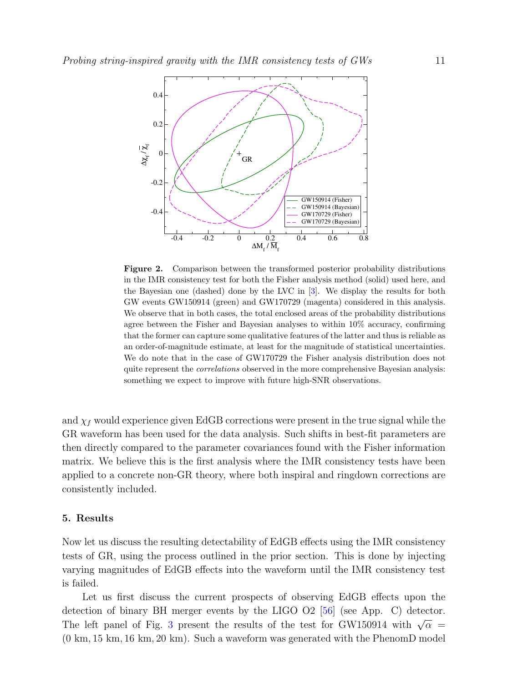

<span id="page-10-0"></span>Figure 2. Comparison between the transformed posterior probability distributions in the IMR consistency test for both the Fisher analysis method (solid) used here, and the Bayesian one (dashed) done by the LVC in [\[3\]](#page-14-2). We display the results for both GW events GW150914 (green) and GW170729 (magenta) considered in this analysis. We observe that in both cases, the total enclosed areas of the probability distributions agree between the Fisher and Bayesian analyses to within 10% accuracy, confirming that the former can capture some qualitative features of the latter and thus is reliable as an order-of-magnitude estimate, at least for the magnitude of statistical uncertainties. We do note that in the case of GW170729 the Fisher analysis distribution does not quite represent the *correlations* observed in the more comprehensive Bayesian analysis: something we expect to improve with future high-SNR observations.

and  $\chi_f$  would experience given EdGB corrections were present in the true signal while the GR waveform has been used for the data analysis. Such shifts in best-fit parameters are then directly compared to the parameter covariances found with the Fisher information matrix. We believe this is the first analysis where the IMR consistency tests have been applied to a concrete non-GR theory, where both inspiral and ringdown corrections are consistently included.

### 5. Results

Now let us discuss the resulting detectability of EdGB effects using the IMR consistency tests of GR, using the process outlined in the prior section. This is done by injecting varying magnitudes of EdGB effects into the waveform until the IMR consistency test is failed.

Let us first discuss the current prospects of observing EdGB effects upon the detection of binary BH merger events by the LIGO O2 [\[56\]](#page-16-6) (see App. C) detector. The left panel of Fig. [3](#page-11-0) present the results of the test for GW150914 with  $\sqrt{\alpha}$  = (0 km, 15 km, 16 km, 20 km). Such a waveform was generated with the PhenomD model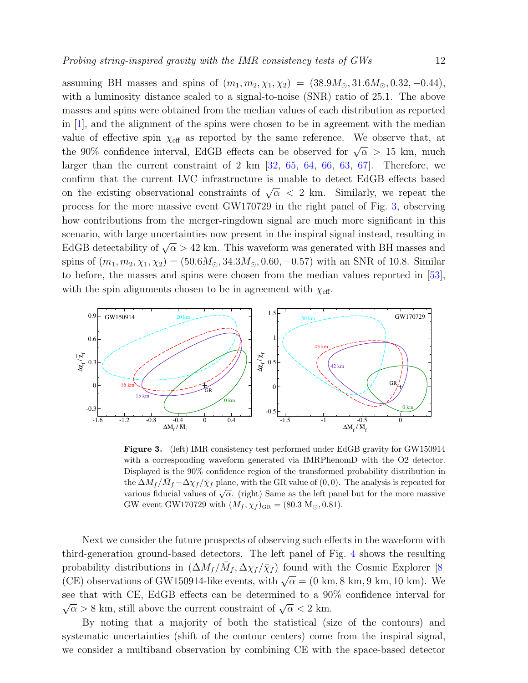masses and spins were obtained from the median values of each distribution as reported in [\[1\]](#page-14-0), and the alignment of the spins were chosen to be in agreement with the median value of effective spin  $\chi_{\text{eff}}$  as reported by the same reference. We observe that, at the 90% confidence interval, EdGB effects can be observed for  $\sqrt{\alpha} > 15$  km, much larger than the current constraint of 2 km  $[32, 65, 64, 66, 63, 67]$  $[32, 65, 64, 66, 63, 67]$  $[32, 65, 64, 66, 63, 67]$  $[32, 65, 64, 66, 63, 67]$  $[32, 65, 64, 66, 63, 67]$  $[32, 65, 64, 66, 63, 67]$  $[32, 65, 64, 66, 63, 67]$  $[32, 65, 64, 66, 63, 67]$  $[32, 65, 64, 66, 63, 67]$  $[32, 65, 64, 66, 63, 67]$ . Therefore, we confirm that the current LVC infrastructure is unable to detect EdGB effects based from the existing observational constraints of  $\sqrt{\alpha}$  < 2 km. Similarly, we repeat the process for the more massive event GW170729 in the right panel of Fig. [3,](#page-11-0) observing how contributions from the merger-ringdown signal are much more significant in this scenario, with large uncertainties now present in the inspiral signal instead, resulting in EdGB detectability of  $\sqrt{\alpha} > 42$  km. This waveform was generated with BH masses and spins of  $(m_1, m_2, \chi_1, \chi_2) = (50.6 M_\odot, 34.3 M_\odot, 0.60, -0.57)$  with an SNR of 10.8. Similar to before, the masses and spins were chosen from the median values reported in [\[53\]](#page-16-3), with the spin alignments chosen to be in agreement with  $\chi_{\text{eff}}$ .



<span id="page-11-0"></span>Figure 3. (left) IMR consistency test performed under EdGB gravity for GW150914 with a corresponding waveform generated via IMRPhenomD with the O2 detector. Displayed is the 90% confidence region of the transformed probability distribution in the  $\Delta M_f / \bar{M}_f - \Delta \chi_f / \bar{\chi}_f$  plane, with the GR value of  $(0, 0)$ . The analysis is repeated for various fiducial values of  $\sqrt{\alpha}$ . (right) Same as the left panel but for the more massive GW event GW170729 with  $(M_f, \chi_f)_{\text{GR}} = (80.3 \text{ M}_\odot, 0.81)$ .

Next we consider the future prospects of observing such effects in the waveform with third-generation ground-based detectors. The left panel of Fig. [4](#page-12-0) shows the resulting probability distributions in  $(\Delta M_f/\bar{M}_f, \Delta \chi_f/\bar{\chi}_f)$  found with the Cosmic Explorer [\[8\]](#page-14-7) probability distributions in  $(\Delta M_f / M_f, \Delta \chi_f / \chi_f)$  found with the cosmic Explorer [0]<br>(CE) observations of GW150914-like events, with  $\sqrt{\alpha} = (0 \text{ km}, 8 \text{ km}, 9 \text{ km}, 10 \text{ km})$ . We see that with CE, EdGB effects can be determined to a 90% confidence interval for  $\overline{\alpha}$  > 8 km, still above the current constraint of  $\sqrt{\alpha}$  < 2 km.

By noting that a majority of both the statistical (size of the contours) and systematic uncertainties (shift of the contour centers) come from the inspiral signal, we consider a multiband observation by combining CE with the space-based detector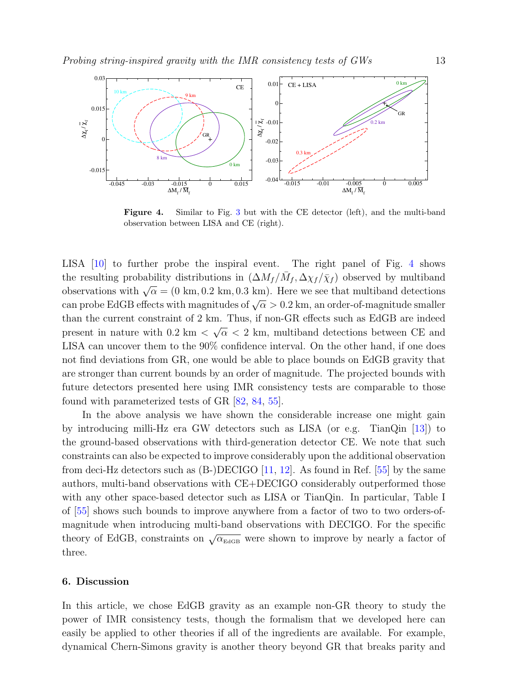

<span id="page-12-0"></span>Figure 4. Similar to Fig. [3](#page-11-0) but with the CE detector (left), and the multi-band observation between LISA and CE (right).

LISA [\[10\]](#page-14-9) to further probe the inspiral event. The right panel of Fig. [4](#page-12-0) shows the resulting probability distributions in  $(\Delta M_f / \bar{M}_f, \Delta \chi_f / \bar{\chi}_f)$  observed by multiband observations with  $\sqrt{\alpha} = (0 \text{ km}, 0.2 \text{ km}, 0.3 \text{ km})$ . Here we see that multiband detections can probe EdGB effects with magnitudes of  $\sqrt{\alpha} > 0.2$  km, an order-of-magnitude smaller than the current constraint of 2 km. Thus, if non-GR effects such as EdGB are indeed present in nature with 0.2 km < √  $\overline{\alpha}$  < 2 km, multiband detections between CE and LISA can uncover them to the 90% confidence interval. On the other hand, if one does not find deviations from GR, one would be able to place bounds on EdGB gravity that are stronger than current bounds by an order of magnitude. The projected bounds with future detectors presented here using IMR consistency tests are comparable to those found with parameterized tests of GR [\[82,](#page-16-31) [84,](#page-16-33) [55\]](#page-16-5).

In the above analysis we have shown the considerable increase one might gain by introducing milli-Hz era GW detectors such as LISA (or e.g. TianQin [\[13\]](#page-15-1)) to the ground-based observations with third-generation detector CE. We note that such constraints can also be expected to improve considerably upon the additional observation from deci-Hz detectors such as  $(B-)DECIGO [11, 12]$  $(B-)DECIGO [11, 12]$  $(B-)DECIGO [11, 12]$  $(B-)DECIGO [11, 12]$ . As found in Ref. [\[55\]](#page-16-5) by the same authors, multi-band observations with CE+DECIGO considerably outperformed those with any other space-based detector such as LISA or TianQin. In particular, Table I of [\[55\]](#page-16-5) shows such bounds to improve anywhere from a factor of two to two orders-ofmagnitude when introducing multi-band observations with DECIGO. For the specific theory of EdGB, constraints on  $\sqrt{\alpha_{\text{EdGB}}}$  were shown to improve by nearly a factor of three.

#### 6. Discussion

In this article, we chose EdGB gravity as an example non-GR theory to study the power of IMR consistency tests, though the formalism that we developed here can easily be applied to other theories if all of the ingredients are available. For example, dynamical Chern-Simons gravity is another theory beyond GR that breaks parity and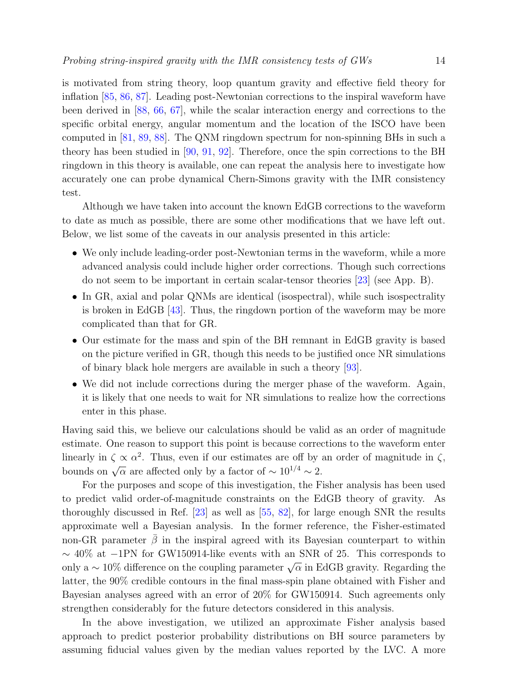is motivated from string theory, loop quantum gravity and effective field theory for inflation [\[85,](#page-17-0) [86,](#page-17-1) [87\]](#page-17-2). Leading post-Newtonian corrections to the inspiral waveform have been derived in [\[88,](#page-17-3) [66,](#page-16-15) [67\]](#page-16-16), while the scalar interaction energy and corrections to the specific orbital energy, angular momentum and the location of the ISCO have been computed in [\[81,](#page-16-30) [89,](#page-17-4) [88\]](#page-17-3). The QNM ringdown spectrum for non-spinning BHs in such a theory has been studied in [\[90,](#page-17-5) [91,](#page-17-6) [92\]](#page-17-7). Therefore, once the spin corrections to the BH ringdown in this theory is available, one can repeat the analysis here to investigate how accurately one can probe dynamical Chern-Simons gravity with the IMR consistency test.

Although we have taken into account the known EdGB corrections to the waveform to date as much as possible, there are some other modifications that we have left out. Below, we list some of the caveats in our analysis presented in this article:

- We only include leading-order post-Newtonian terms in the waveform, while a more advanced analysis could include higher order corrections. Though such corrections do not seem to be important in certain scalar-tensor theories [\[23\]](#page-15-11) (see App. B).
- In GR, axial and polar QNMs are identical (isospectral), while such isospectrality is broken in EdGB [\[43\]](#page-15-30). Thus, the ringdown portion of the waveform may be more complicated than that for GR.
- Our estimate for the mass and spin of the BH remnant in EdGB gravity is based on the picture verified in GR, though this needs to be justified once NR simulations of binary black hole mergers are available in such a theory [\[93\]](#page-17-8).
- We did not include corrections during the merger phase of the waveform. Again, it is likely that one needs to wait for NR simulations to realize how the corrections enter in this phase.

Having said this, we believe our calculations should be valid as an order of magnitude estimate. One reason to support this point is because corrections to the waveform enter linearly in  $\zeta \propto \alpha^2$ . Thus, even if our estimates are off by an order of magnitude in  $\zeta$ , bounds on  $\sqrt{\alpha}$  are affected only by a factor of  $\sim 10^{1/4} \sim 2$ .

For the purposes and scope of this investigation, the Fisher analysis has been used to predict valid order-of-magnitude constraints on the EdGB theory of gravity. As thoroughly discussed in Ref. [\[23\]](#page-15-11) as well as [\[55,](#page-16-5) [82\]](#page-16-31), for large enough SNR the results approximate well a Bayesian analysis. In the former reference, the Fisher-estimated non-GR parameter  $\beta$  in the inspiral agreed with its Bayesian counterpart to within  $\sim$  40% at −1PN for GW150914-like events with an SNR of 25. This corresponds to only a ∼ 10% difference on the coupling parameter  $\sqrt{\alpha}$  in EdGB gravity. Regarding the latter, the 90% credible contours in the final mass-spin plane obtained with Fisher and Bayesian analyses agreed with an error of 20% for GW150914. Such agreements only strengthen considerably for the future detectors considered in this analysis.

In the above investigation, we utilized an approximate Fisher analysis based approach to predict posterior probability distributions on BH source parameters by assuming fiducial values given by the median values reported by the LVC. A more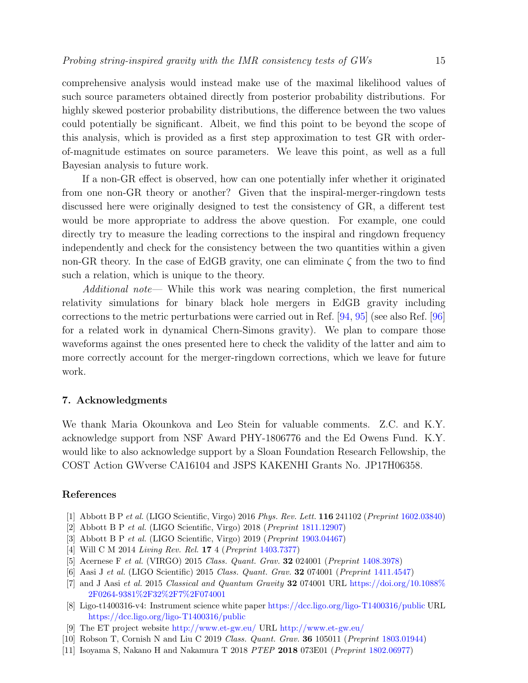comprehensive analysis would instead make use of the maximal likelihood values of such source parameters obtained directly from posterior probability distributions. For highly skewed posterior probability distributions, the difference between the two values could potentially be significant. Albeit, we find this point to be beyond the scope of this analysis, which is provided as a first step approximation to test GR with orderof-magnitude estimates on source parameters. We leave this point, as well as a full Bayesian analysis to future work.

If a non-GR effect is observed, how can one potentially infer whether it originated from one non-GR theory or another? Given that the inspiral-merger-ringdown tests discussed here were originally designed to test the consistency of GR, a different test would be more appropriate to address the above question. For example, one could directly try to measure the leading corrections to the inspiral and ringdown frequency independently and check for the consistency between the two quantities within a given non-GR theory. In the case of EdGB gravity, one can eliminate  $\zeta$  from the two to find such a relation, which is unique to the theory.

Additional note— While this work was nearing completion, the first numerical relativity simulations for binary black hole mergers in EdGB gravity including corrections to the metric perturbations were carried out in Ref. [\[94,](#page-17-9) [95\]](#page-17-10) (see also Ref. [\[96\]](#page-17-11) for a related work in dynamical Chern-Simons gravity). We plan to compare those waveforms against the ones presented here to check the validity of the latter and aim to more correctly account for the merger-ringdown corrections, which we leave for future work.

#### 7. Acknowledgments

We thank Maria Okounkova and Leo Stein for valuable comments. Z.C. and K.Y. acknowledge support from NSF Award PHY-1806776 and the Ed Owens Fund. K.Y. would like to also acknowledge support by a Sloan Foundation Research Fellowship, the COST Action GWverse CA16104 and JSPS KAKENHI Grants No. JP17H06358.

## References

- <span id="page-14-0"></span>[1] Abbott B P et al. (LIGO Scientific, Virgo) 2016 Phys. Rev. Lett. 116 241102 (Preprint [1602.03840\)](1602.03840)
- <span id="page-14-1"></span>[2] Abbott B P et al. (LIGO Scientific, Virgo) 2018 (Preprint [1811.12907\)](1811.12907)
- <span id="page-14-2"></span>[3] Abbott B P et al. (LIGO Scientific, Virgo) 2019 (Preprint [1903.04467\)](1903.04467)
- <span id="page-14-3"></span>[4] Will C M 2014 Living Rev. Rel. 17 4 (Preprint [1403.7377\)](1403.7377)
- <span id="page-14-4"></span>[5] Acernese F et al. (VIRGO) 2015 Class. Quant. Grav. 32 024001 (Preprint [1408.3978\)](1408.3978)
- <span id="page-14-5"></span>[6] Aasi J et al. (LIGO Scientific) 2015 Class. Quant. Grav. 32 074001 (Preprint [1411.4547\)](1411.4547)
- <span id="page-14-6"></span>[7] and J Aasi et al. 2015 Classical and Quantum Gravity 32 074001 URL [https://doi.org/10.1088%](https://doi.org/10.1088%2F0264-9381%2F32%2F7%2F074001) [2F0264-9381%2F32%2F7%2F074001](https://doi.org/10.1088%2F0264-9381%2F32%2F7%2F074001)
- <span id="page-14-7"></span>[8] Ligo-t1400316-v4: Instrument science white paper <https://dcc.ligo.org/ligo-T1400316/public> URL <https://dcc.ligo.org/ligo-T1400316/public>
- <span id="page-14-8"></span>[9] The ET project website <http://www.et-gw.eu/> URL <http://www.et-gw.eu/>
- <span id="page-14-9"></span>[10] Robson T, Cornish N and Liu C 2019 Class. Quant. Grav. 36 105011 (Preprint [1803.01944\)](1803.01944)
- <span id="page-14-10"></span>[11] Isoyama S, Nakano H and Nakamura T 2018 PTEP 2018 073E01 (Preprint [1802.06977\)](1802.06977)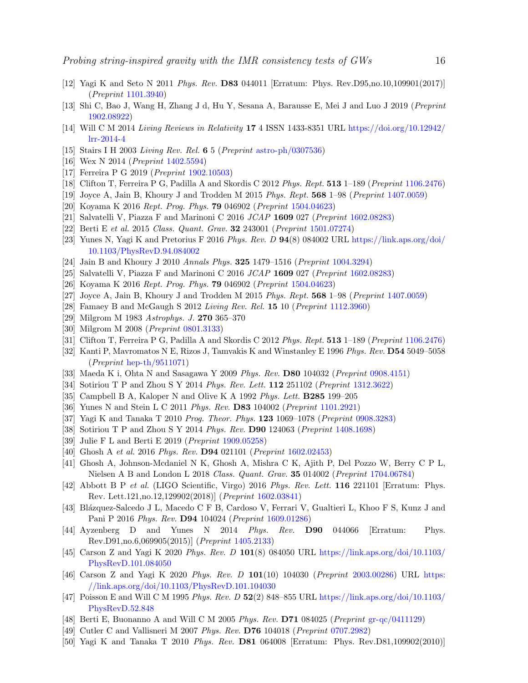- <span id="page-15-0"></span>[12] Yagi K and Seto N 2011 Phys. Rev. D83 044011 [Erratum: Phys. Rev.D95,no.10,109901(2017)] (Preprint [1101.3940\)](1101.3940)
- <span id="page-15-1"></span>[13] Shi C, Bao J, Wang H, Zhang J d, Hu Y, Sesana A, Barausse E, Mei J and Luo J 2019 (Preprint [1902.08922\)](1902.08922)
- <span id="page-15-2"></span>[14] Will C M 2014 Living Reviews in Relativity 17 4 ISSN 1433-8351 URL [https://doi.org/10.12942/](https://doi.org/10.12942/lrr-2014-4) [lrr-2014-4](https://doi.org/10.12942/lrr-2014-4)
- <span id="page-15-3"></span>[15] Stairs I H 2003 Living Rev. Rel. 6 5 (Preprint [astro-ph/0307536\)](astro-ph/0307536)
- <span id="page-15-4"></span>[16] Wex N 2014 (Preprint [1402.5594\)](1402.5594)
- <span id="page-15-5"></span>[17] Ferreira P G 2019 (Preprint [1902.10503\)](1902.10503)
- <span id="page-15-6"></span>[18] Clifton T, Ferreira P G, Padilla A and Skordis C 2012 Phys. Rept. 513 1–189 (Preprint [1106.2476\)](1106.2476)
- <span id="page-15-7"></span>[19] Joyce A, Jain B, Khoury J and Trodden M 2015 Phys. Rept. 568 1–98 (Preprint [1407.0059\)](1407.0059)
- <span id="page-15-8"></span>[20] Koyama K 2016 Rept. Prog. Phys. 79 046902 (Preprint [1504.04623\)](1504.04623)
- <span id="page-15-9"></span>[21] Salvatelli V, Piazza F and Marinoni C 2016 JCAP 1609 027 (Preprint [1602.08283\)](1602.08283)
- <span id="page-15-10"></span>[22] Berti E et al. 2015 Class. Quant. Grav. 32 243001 (Preprint [1501.07274\)](1501.07274)
- <span id="page-15-11"></span>[23] Yunes N, Yagi K and Pretorius F 2016 Phys. Rev. D 94(8) 084002 URL [https://link.aps.org/doi/](https://link.aps.org/doi/10.1103/PhysRevD.94.084002) [10.1103/PhysRevD.94.084002](https://link.aps.org/doi/10.1103/PhysRevD.94.084002)
- <span id="page-15-12"></span>[24] Jain B and Khoury J 2010 Annals Phys. 325 1479–1516 (Preprint [1004.3294\)](1004.3294)
- <span id="page-15-13"></span>[25] Salvatelli V, Piazza F and Marinoni C 2016 JCAP 1609 027 (Preprint [1602.08283\)](1602.08283)
- <span id="page-15-14"></span>[26] Koyama K 2016 Rept. Prog. Phys. 79 046902 (Preprint [1504.04623\)](1504.04623)
- <span id="page-15-15"></span>[27] Joyce A, Jain B, Khoury J and Trodden M 2015 Phys. Rept.  $568$  1–98 (Preprint [1407.0059\)](1407.0059)
- <span id="page-15-17"></span>[28] Famaey B and McGaugh S 2012 Living Rev. Rel. 15 10 (Preprint [1112.3960\)](1112.3960)
- <span id="page-15-32"></span>[29] Milgrom M 1983 Astrophys. J. 270 365–370
- <span id="page-15-18"></span>[30] Milgrom M 2008 (Preprint [0801.3133\)](0801.3133)
- <span id="page-15-16"></span>[31] Clifton T, Ferreira P G, Padilla A and Skordis C 2012 Phys. Rept. 513 1–189 (Preprint [1106.2476\)](1106.2476)
- <span id="page-15-19"></span>[32] Kanti P, Mavromatos N E, Rizos J, Tamvakis K and Winstanley E 1996 Phys. Rev. D54 5049–5058 (Preprint [hep-th/9511071\)](hep-th/9511071)
- <span id="page-15-20"></span>[33] Maeda K i, Ohta N and Sasagawa Y 2009 Phys. Rev. **D80** 104032 (Preprint [0908.4151\)](0908.4151)
- <span id="page-15-21"></span>[34] Sotiriou T P and Zhou S Y 2014 Phys. Rev. Lett. 112 251102 (Preprint [1312.3622\)](1312.3622)
- <span id="page-15-22"></span>[35] Campbell B A, Kaloper N and Olive K A 1992 Phys. Lett. B285 199–205
- <span id="page-15-23"></span>[36] Yunes N and Stein L C 2011 Phys. Rev. D83 104002 (Preprint [1101.2921\)](1101.2921)
- <span id="page-15-24"></span>[37] Yagi K and Tanaka T 2010 Prog. Theor. Phys. 123 1069–1078 (Preprint [0908.3283\)](0908.3283)
- <span id="page-15-25"></span>[38] Sotiriou T P and Zhou S Y 2014 Phys. Rev. D90 124063 (Preprint [1408.1698\)](1408.1698)
- <span id="page-15-26"></span>[39] Julie F L and Berti E 2019 (Preprint [1909.05258\)](1909.05258)
- <span id="page-15-27"></span>[40] Ghosh A et al. 2016 Phys. Rev. **D94** 021101 (*Preprint* [1602.02453\)](1602.02453)
- <span id="page-15-28"></span>[41] Ghosh A, Johnson-Mcdaniel N K, Ghosh A, Mishra C K, Ajith P, Del Pozzo W, Berry C P L, Nielsen A B and London L 2018 Class. Quant. Grav. 35 014002 (Preprint [1704.06784\)](1704.06784)
- <span id="page-15-29"></span>[42] Abbott B P et al. (LIGO Scientific, Virgo) 2016 Phys. Rev. Lett. 116 221101 [Erratum: Phys. Rev. Lett.121,no.12,129902(2018)] (Preprint [1602.03841\)](1602.03841)
- <span id="page-15-30"></span>[43] Blázquez-Salcedo J L, Macedo C F B, Cardoso V, Ferrari V, Gualtieri L, Khoo F S, Kunz J and Pani P 2016 Phys. Rev. D94 104024 (Preprint [1609.01286\)](1609.01286)
- <span id="page-15-31"></span>[44] Ayzenberg D and Yunes N 2014 Phys. Rev. D90 044066 [Erratum: Phys. Rev.D91,no.6,069905(2015)] (Preprint [1405.2133\)](1405.2133)
- <span id="page-15-33"></span>[45] Carson Z and Yagi K 2020 Phys. Rev. D 101(8) 084050 URL [https://link.aps.org/doi/10.1103/](https://link.aps.org/doi/10.1103/PhysRevD.101.084050) [PhysRevD.101.084050](https://link.aps.org/doi/10.1103/PhysRevD.101.084050)
- <span id="page-15-34"></span>[46] Carson Z and Yagi K 2020 Phys. Rev. D 101(10) 104030 (Preprint [2003.00286\)](2003.00286) URL [https:](https://link.aps.org/doi/10.1103/PhysRevD.101.104030) [//link.aps.org/doi/10.1103/PhysRevD.101.104030](https://link.aps.org/doi/10.1103/PhysRevD.101.104030)
- <span id="page-15-35"></span>[47] Poisson E and Will C M 1995 Phys. Rev. D 52(2) 848–855 URL [https://link.aps.org/doi/10.1103/](https://link.aps.org/doi/10.1103/PhysRevD.52.848) [PhysRevD.52.848](https://link.aps.org/doi/10.1103/PhysRevD.52.848)
- <span id="page-15-36"></span>[48] Berti E, Buonanno A and Will C M 2005 Phys. Rev. D71 084025 (Preprint [gr-qc/0411129\)](gr-qc/0411129)
- <span id="page-15-37"></span>[49] Cutler C and Vallisneri M 2007 Phys. Rev. D76 104018 (Preprint [0707.2982\)](0707.2982)
- <span id="page-15-38"></span>[50] Yagi K and Tanaka T 2010 Phys. Rev. D81 064008 [Erratum: Phys. Rev.D81,109902(2010)]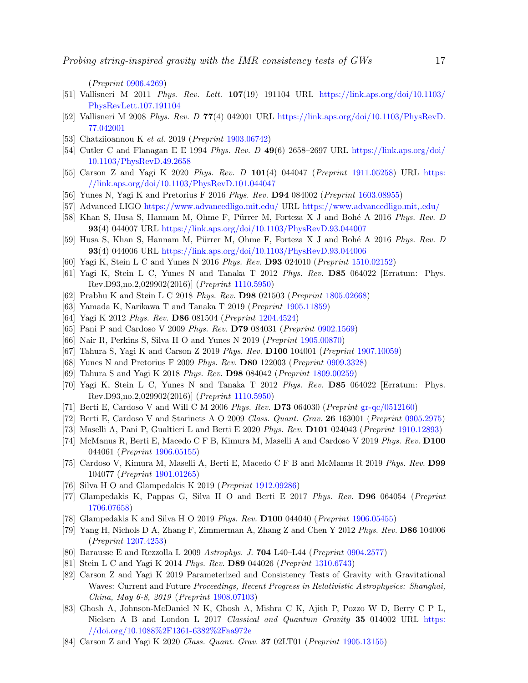(Preprint [0906.4269\)](0906.4269)

- <span id="page-16-0"></span>[51] Vallisneri M 2011 Phys. Rev. Lett. 107(19) 191104 URL [https://link.aps.org/doi/10.1103/](https://link.aps.org/doi/10.1103/PhysRevLett.107.191104) [PhysRevLett.107.191104](https://link.aps.org/doi/10.1103/PhysRevLett.107.191104)
- <span id="page-16-1"></span>[52] Vallisneri M 2008 Phys. Rev. D 77(4) 042001 URL [https://link.aps.org/doi/10.1103/PhysRevD.](https://link.aps.org/doi/10.1103/PhysRevD.77.042001) [77.042001](https://link.aps.org/doi/10.1103/PhysRevD.77.042001)
- <span id="page-16-3"></span>[53] Chatziioannou K et al. 2019 (Preprint [1903.06742\)](1903.06742)
- <span id="page-16-2"></span>[54] Cutler C and Flanagan E E 1994 Phys. Rev. D  $49(6)$  2658–2697 URL [https://link.aps.org/doi/](https://link.aps.org/doi/10.1103/PhysRevD.49.2658) [10.1103/PhysRevD.49.2658](https://link.aps.org/doi/10.1103/PhysRevD.49.2658)
- <span id="page-16-5"></span>[55] Carson Z and Yagi K 2020 Phys. Rev. D 101(4) 044047 (Preprint [1911.05258\)](1911.05258) URL [https:](https://link.aps.org/doi/10.1103/PhysRevD.101.044047) [//link.aps.org/doi/10.1103/PhysRevD.101.044047](https://link.aps.org/doi/10.1103/PhysRevD.101.044047)
- <span id="page-16-6"></span>[56] Yunes N, Yagi K and Pretorius F 2016 Phys. Rev. **D94** 084002 (Preprint [1603.08955\)](1603.08955)
- <span id="page-16-4"></span>[57] Advanced LIGO <https://www.advancedligo.mit.edu/> URL <https://www.advancedligo.mit,.edu/>
- <span id="page-16-7"></span>[58] Khan S, Husa S, Hannam M, Ohme F, Pürrer M, Forteza X J and Bohé A 2016 Phys. Rev. D 93(4) 044007 URL <https://link.aps.org/doi/10.1103/PhysRevD.93.044007>
- <span id="page-16-8"></span>[59] Husa S, Khan S, Hannam M, Pürrer M, Ohme F, Forteza X J and Bohé A 2016 Phys. Rev. D 93(4) 044006 URL <https://link.aps.org/doi/10.1103/PhysRevD.93.044006>
- <span id="page-16-9"></span>[60] Yagi K, Stein L C and Yunes N 2016 Phys. Rev. D93 024010 (Preprint [1510.02152\)](1510.02152)
- <span id="page-16-10"></span>[61] Yagi K, Stein L C, Yunes N and Tanaka T 2012 Phys. Rev. D85 064022 [Erratum: Phys. Rev.D93,no.2,029902(2016)] (Preprint [1110.5950\)](1110.5950)
- <span id="page-16-11"></span>[62] Prabhu K and Stein L C 2018 Phys. Rev. D98 021503 (Preprint [1805.02668\)](1805.02668)
- <span id="page-16-12"></span>[63] Yamada K, Narikawa T and Tanaka T 2019 (Preprint [1905.11859\)](1905.11859)
- <span id="page-16-13"></span>[64] Yagi K 2012 Phys. Rev. D86 081504 (Preprint [1204.4524\)](1204.4524)
- <span id="page-16-14"></span>[65] Pani P and Cardoso V 2009 Phys. Rev. D79 084031 (Preprint [0902.1569\)](0902.1569)
- <span id="page-16-15"></span>[66] Nair R, Perkins S, Silva H O and Yunes N 2019 (Preprint [1905.00870\)](1905.00870)
- <span id="page-16-16"></span>[67] Tahura S, Yagi K and Carson Z 2019 Phys. Rev. D100 104001 (Preprint [1907.10059\)](1907.10059)
- <span id="page-16-17"></span>[68] Yunes N and Pretorius F 2009 Phys. Rev. D80 122003 (Preprint [0909.3328\)](0909.3328)
- <span id="page-16-18"></span>[69] Tahura S and Yagi K 2018 Phys. Rev. D98 084042 (Preprint [1809.00259\)](1809.00259)
- <span id="page-16-19"></span>[70] Yagi K, Stein L C, Yunes N and Tanaka T 2012 Phys. Rev. D85 064022 [Erratum: Phys. Rev.D93,no.2,029902(2016)] (Preprint [1110.5950\)](1110.5950)
- <span id="page-16-20"></span>[71] Berti E, Cardoso V and Will C M 2006 Phys. Rev. D73 064030 (Preprint [gr-qc/0512160\)](gr-qc/0512160)
- <span id="page-16-21"></span>[72] Berti E, Cardoso V and Starinets A O 2009 Class. Quant. Grav. 26 163001 (Preprint [0905.2975\)](0905.2975)
- <span id="page-16-22"></span>[73] Maselli A, Pani P, Gualtieri L and Berti E 2020 Phys. Rev. D101 024043 (Preprint [1910.12893\)](1910.12893)
- <span id="page-16-23"></span>[74] McManus R, Berti E, Macedo C F B, Kimura M, Maselli A and Cardoso V 2019 Phys. Rev. D100 044061 (Preprint [1906.05155\)](1906.05155)
- <span id="page-16-24"></span>[75] Cardoso V, Kimura M, Maselli A, Berti E, Macedo C F B and McManus R 2019 Phys. Rev. D99 104077 (Preprint [1901.01265\)](1901.01265)
- <span id="page-16-26"></span>[76] Silva H O and Glampedakis K 2019 (Preprint [1912.09286\)](1912.09286)
- <span id="page-16-27"></span>[77] Glampedakis K, Pappas G, Silva H O and Berti E 2017 Phys. Rev. D96 064054 (Preprint [1706.07658\)](1706.07658)
- <span id="page-16-28"></span>[78] Glampedakis K and Silva H O 2019 Phys. Rev. D100 044040 (Preprint [1906.05455\)](1906.05455)
- <span id="page-16-25"></span>[79] Yang H, Nichols D A, Zhang F, Zimmerman A, Zhang Z and Chen Y 2012 Phys. Rev. D86 104006 (Preprint [1207.4253\)](1207.4253)
- <span id="page-16-29"></span>[80] Barausse E and Rezzolla L 2009 Astrophys. J. 704 L40–L44 (Preprint [0904.2577\)](0904.2577)
- <span id="page-16-30"></span>[81] Stein L C and Yagi K 2014 Phys. Rev. D89 044026 (Preprint [1310.6743\)](1310.6743)
- <span id="page-16-31"></span>[82] Carson Z and Yagi K 2019 Parameterized and Consistency Tests of Gravity with Gravitational Waves: Current and Future Proceedings, Recent Progress in Relativistic Astrophysics: Shanghai, China, May 6-8, 2019 (Preprint [1908.07103\)](1908.07103)
- <span id="page-16-32"></span>[83] Ghosh A, Johnson-McDaniel N K, Ghosh A, Mishra C K, Ajith P, Pozzo W D, Berry C P L, Nielsen A B and London L 2017 Classical and Quantum Gravity 35 014002 URL [https:](https://doi.org/10.1088%2F1361-6382%2Faa972e) [//doi.org/10.1088%2F1361-6382%2Faa972e](https://doi.org/10.1088%2F1361-6382%2Faa972e)
- <span id="page-16-33"></span>[84] Carson Z and Yagi K 2020 Class. Quant. Grav. 37 02LT01 (Preprint [1905.13155\)](1905.13155)